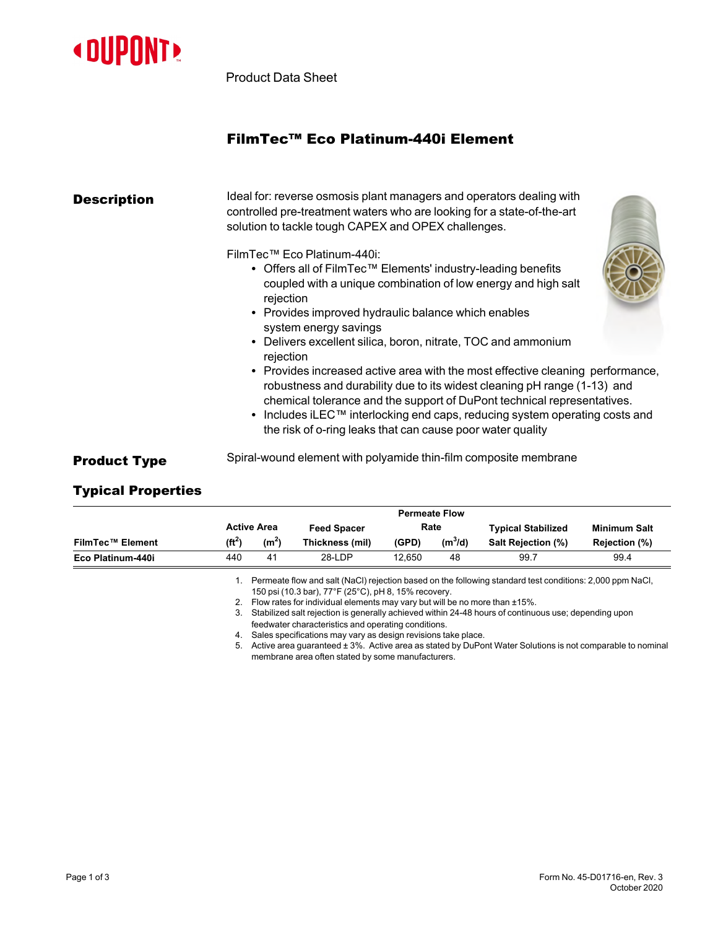

Product Data Sheet

# FilmTec™ Eco Platinum-440i Element

| <b>Description</b>  | Ideal for: reverse osmosis plant managers and operators dealing with<br>controlled pre-treatment waters who are looking for a state-of-the-art<br>solution to tackle tough CAPEX and OPEX challenges.                                                                                                                                                                                                                                                                        |  |  |  |  |  |  |
|---------------------|------------------------------------------------------------------------------------------------------------------------------------------------------------------------------------------------------------------------------------------------------------------------------------------------------------------------------------------------------------------------------------------------------------------------------------------------------------------------------|--|--|--|--|--|--|
|                     | FilmTec™ Eco Platinum-440i:<br>• Offers all of FilmTec <sup>TM</sup> Elements' industry-leading benefits<br>coupled with a unique combination of low energy and high salt<br>rejection<br>• Provides improved hydraulic balance which enables<br>system energy savings                                                                                                                                                                                                       |  |  |  |  |  |  |
|                     | • Delivers excellent silica, boron, nitrate, TOC and ammonium<br>rejection<br>• Provides increased active area with the most effective cleaning performance,<br>robustness and durability due to its widest cleaning pH range (1-13) and<br>chemical tolerance and the support of DuPont technical representatives.<br>• Includes iLEC <sup>™</sup> interlocking end caps, reducing system operating costs and<br>the risk of o-ring leaks that can cause poor water quality |  |  |  |  |  |  |
| <b>Product Type</b> | Spiral-wound element with polyamide thin-film composite membrane                                                                                                                                                                                                                                                                                                                                                                                                             |  |  |  |  |  |  |

## Typical Properties

|                         |                    |                   |                    |        | <b>Permeate Flow</b> |                           |               |  |
|-------------------------|--------------------|-------------------|--------------------|--------|----------------------|---------------------------|---------------|--|
|                         | <b>Active Area</b> |                   | <b>Feed Spacer</b> | Rate   |                      | <b>Typical Stabilized</b> | Minimum Salt  |  |
| <b>FilmTec™ Element</b> | (ft <sup>2</sup> ) | (m <sup>2</sup> ) | Thickness (mil)    | (GPD)  | $(m^3/d)$            | <b>Salt Rejection (%)</b> | Rejection (%) |  |
| Eco Platinum-440i       | 440                | 41                | 28-LDP             | 12.650 | 48                   | 99.7                      | 99.4          |  |

1. Permeate flow and salt (NaCl) rejection based on the following standard test conditions: 2,000 ppm NaCl, 150 psi (10.3 bar), 77°F (25°C), pH 8, 15% recovery.

2. Flow rates for individual elements may vary but will be no more than ±15%.

3. Stabilized salt rejection is generally achieved within 24-48 hours of continuous use; depending upon

feedwater characteristics and operating conditions. 4. Sales specifications may vary as design revisions take place.

5. Active area guaranteed ± 3%. Active area as stated by DuPont Water Solutions is not comparable to nominal

membrane area often stated by some manufacturers.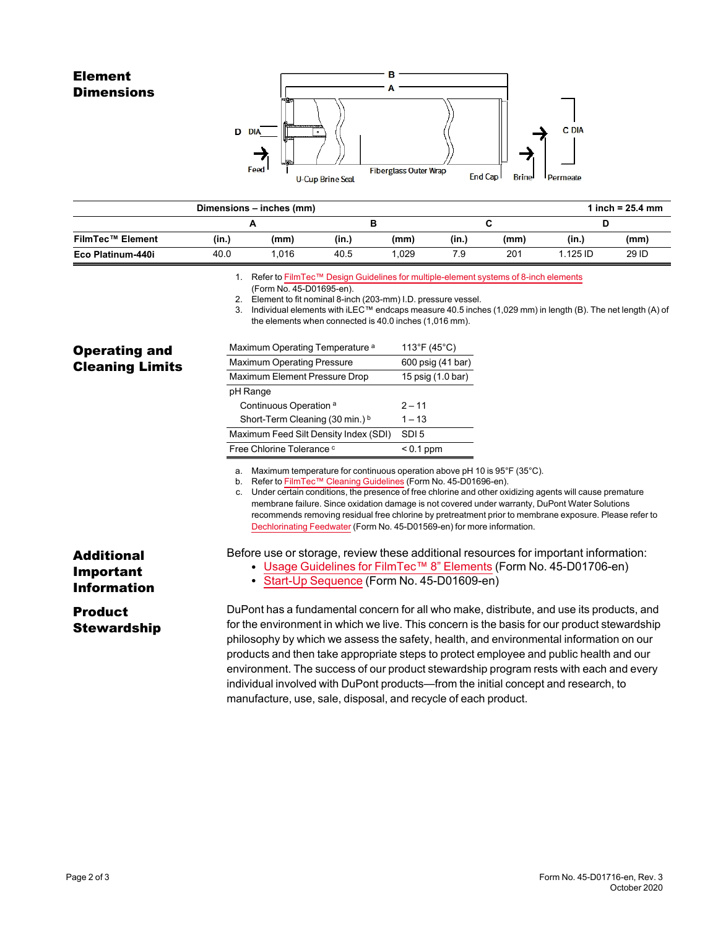## Element **Dimensions**



|                   |       | Dimensions - inches (mm) |       |       |       |      |            | 1 inch = $25.4 \, \text{mm}$ |
|-------------------|-------|--------------------------|-------|-------|-------|------|------------|------------------------------|
|                   |       | A                        |       |       |       |      |            |                              |
| FilmTec™ Element  | (in.) | (mm)                     | (in.) | (mm)  | (in.) | (mm) | (in.)      | (mm)                         |
| Eco Platinum-440i | 40.0  | 1.016                    | 40.5  | 1.029 | 7.9   | 201  | $1.125$ ID | 29 ID                        |
|                   |       |                          |       |       |       |      |            |                              |

1. Refer to FilmTec™ Design Guidelines for [multiple-element](https://www.dupont.com/content/dam/dupont/amer/us/en/water-solutions/public/documents/en/RO-NF-FilmTec-Membrane-Sys-Design-Guidelines-8inch-Manual-Exc-45-D01695-en.pdf) systems of 8-inch elements

2. Element to fit nominal 8-inch (203-mm) I.D. pressure vessel.

3. Individual elements with iLEC™ endcaps measure 40.5 inches (1,029 mm) in length (B). The net length (A) of the elements when connected is 40.0 inches (1,016 mm).

| <b>Operating and</b>   |  |
|------------------------|--|
| <b>Cleaning Limits</b> |  |

| Maximum Operating Temperature <sup>a</sup> | 113°F (45°C)      |
|--------------------------------------------|-------------------|
| <b>Maximum Operating Pressure</b>          | 600 psig (41 bar) |
| Maximum Element Pressure Drop              | 15 psig (1.0 bar) |
| pH Range                                   |                   |
| Continuous Operation <sup>a</sup>          | $2 - 11$          |
| Short-Term Cleaning (30 min.) b            | $1 - 13$          |
| Maximum Feed Silt Density Index (SDI)      | SDI <sub>5</sub>  |
| Free Chlorine Tolerance c                  | $< 0.1$ ppm       |

a. Maximum temperature for continuous operation above pH 10 is 95°F (35°C).

b. Refer to FilmTec™ Cleaning [Guidelines](https://www.dupont.com/content/dam/dupont/amer/us/en/water-solutions/public/documents/en/RO-NF-FilmTec-Cleaning-Procedures-Manual-Exc-45-D01696-en.pdf) (Form No. 45-D01696-en).

c. Under certain conditions, the presence of free chlorine and other oxidizing agents will cause premature membrane failure. Since oxidation damage is not covered under warranty, DuPont Water Solutions recommends removing residual free chlorine by pretreatment prior to membrane exposure. Please refer to [Dechlorinating](https://www.dupont.com/content/dam/dupont/amer/us/en/water-solutions/public/documents/en/RO-NF-FilmTec-Chlorination-Dechlorination-Manual-Exc-45-D01569-en.pdf) Feedwater (Form No. 45-D01569-en) for more information.

Before use or storage, review these additional resources for important information:

- Usage [Guidelines](https://www.dupont.com/content/dam/dupont/amer/us/en/water-solutions/public/documents/en/45-D01706-en.pdf) for FilmTec™ 8" Elements (Form No. 45-D01706-en)
- Start-Up [Sequence](https://www.dupont.com/content/dam/dupont/amer/us/en/water-solutions/public/documents/en/RO-NF-FilmTec-Start-Up-Sequence-Manual-Exc-45-D01609-en.pdf) (Form No. 45-D01609-en)

# Product **Stewardship**

Additional Important Information

> DuPont has a fundamental concern for all who make, distribute, and use its products, and for the environment in which we live. This concern is the basis for our product stewardship philosophy by which we assess the safety, health, and environmental information on our products and then take appropriate steps to protect employee and public health and our environment. The success of our product stewardship program rests with each and every individual involved with DuPont products—from the initial concept and research, to manufacture, use, sale, disposal, and recycle of each product.

<sup>(</sup>Form No. 45-D01695-en).